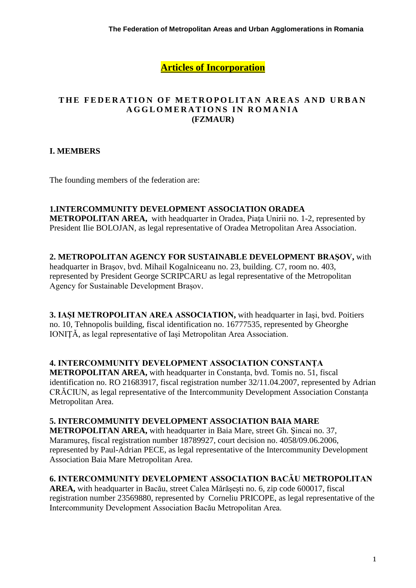**Articles of Incorporation**

#### THE FEDERATION OF METROPOLITAN AREAS AND URBAN **A G G L O M E R A T I O N S I N R O M A N I A (FZMAUR)**

# **I. MEMBERS**

The founding members of the federation are:

#### **1.INTERCOMMUNITY DEVELOPMENT ASSOCIATION ORADEA**

**METROPOLITAN AREA,** with headquarter in Oradea, Piaţa Unirii no. 1-2, represented by President Ilie BOLOJAN, as legal representative of Oradea Metropolitan Area Association.

**2. METROPOLITAN AGENCY FOR SUSTAINABLE DEVELOPMENT BRAŞOV,** with

headquarter in Braşov, bvd. Mihail Kogalniceanu no. 23, building. C7, room no. 403, represented by President George SCRIPCARU as legal representative of the Metropolitan Agency for Sustainable Development Brașov.

**3. IAȘI METROPOLITAN AREA ASSOCIATION,** with headquarter in Iaşi, bvd. Poitiers no. 10, Tehnopolis building, fiscal identification no. 16777535, represented by Gheorghe IONIŢĂ, as legal representative of Iași Metropolitan Area Association.

#### **4. INTERCOMMUNITY DEVELOPMENT ASSOCIATION CONSTANȚA**

**METROPOLITAN AREA,** with headquarter in Constanta, bvd. Tomis no. 51, fiscal identification no. RO 21683917, fiscal registration number 32/11.04.2007, represented by Adrian CRĂCIUN, as legal representative of the Intercommunity Development Association Constanța Metropolitan Area.

## **5. INTERCOMMUNITY DEVELOPMENT ASSOCIATION BAIA MARE**

**METROPOLITAN AREA,** with headquarter in Baia Mare, street Gh. Şincai no. 37, Maramureş, fiscal registration number 18789927, court decision no. 4058/09.06.2006, represented by Paul-Adrian PECE, as legal representative of the Intercommunity Development Association Baia Mare Metropolitan Area.

#### **6. INTERCOMMUNITY DEVELOPMENT ASSOCIATION BACĂU METROPOLITAN**

**AREA,** with headquarter in Bacău, street Calea Mărăşeşti no. 6, zip code 600017, fiscal registration number 23569880, represented by Corneliu PRICOPE, as legal representative of the Intercommunity Development Association Bacău Metropolitan Area.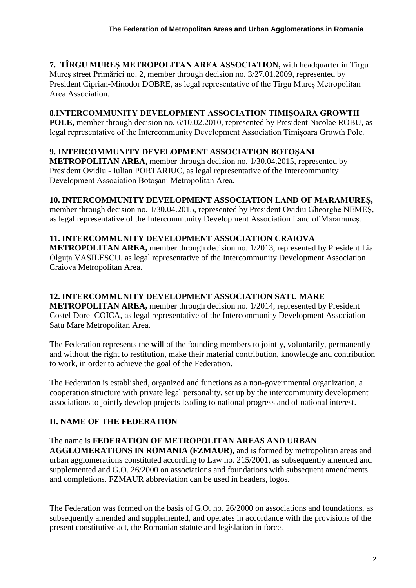**7. TÎRGU MUREȘ METROPOLITAN AREA ASSOCIATION,** with headquarter in Tîrgu Mureş street Primăriei no. 2, member through decision no. 3/27.01.2009, represented by President Ciprian-Minodor DOBRE, as legal representative of the Tîrgu Mures Metropolitan Area Association.

### **8**.**INTERCOMMUNITY DEVELOPMENT ASSOCIATION TIMIȘOARA GROWTH**

**POLE,** member through decision no. 6/10.02.2010, represented by President Nicolae ROBU, as legal representative of the Intercommunity Development Association Timișoara Growth Pole.

# **9. INTERCOMMUNITY DEVELOPMENT ASSOCIATION BOTOȘANI**

**METROPOLITAN AREA,** member through decision no. 1/30.04.2015, represented by President Ovidiu - Iulian PORTARIUC, as legal representative of the Intercommunity Development Association Botoșani Metropolitan Area.

## **10. INTERCOMMUNITY DEVELOPMENT ASSOCIATION LAND OF MARAMUREȘ,**

member through decision no. 1/30.04.2015, represented by President Ovidiu Gheorghe NEMEȘ, as legal representative of the Intercommunity Development Association Land of Maramureș.

## **11. INTERCOMMUNITY DEVELOPMENT ASSOCIATION CRAIOVA**

**METROPOLITAN AREA,** member through decision no. 1/2013, represented by President Lia Olguța VASILESCU, as legal representative of the Intercommunity Development Association Craiova Metropolitan Area.

### **12. INTERCOMMUNITY DEVELOPMENT ASSOCIATION SATU MARE**

**METROPOLITAN AREA,** member through decision no. 1/2014, represented by President Costel Dorel COICA, as legal representative of the Intercommunity Development Association Satu Mare Metropolitan Area.

The Federation represents the **will** of the founding members to jointly, voluntarily, permanently and without the right to restitution, make their material contribution, knowledge and contribution to work, in order to achieve the goal of the Federation.

The Federation is established, organized and functions as a non-governmental organization, a cooperation structure with private legal personality, set up by the intercommunity development associations to jointly develop projects leading to national progress and of national interest.

# **II. NAME OF THE FEDERATION**

# The name is **FEDERATION OF METROPOLITAN AREAS AND URBAN**

**AGGLOMERATIONS IN ROMANIA (FZMAUR),** and is formed by metropolitan areas and urban agglomerations constituted according to Law no. 215/2001, as subsequently amended and supplemented and G.O. 26/2000 on associations and foundations with subsequent amendments and completions. FZMAUR abbreviation can be used in headers, logos.

The Federation was formed on the basis of G.O. no. 26/2000 on associations and foundations, as subsequently amended and supplemented, and operates in accordance with the provisions of the present constitutive act, the Romanian statute and legislation in force.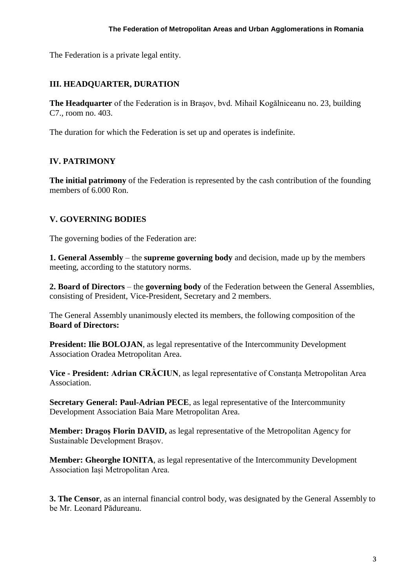The Federation is a private legal entity.

### **III. HEADQUARTER, DURATION**

**The Headquarter** of the Federation is in Braşov, bvd. Mihail Kogălniceanu no. 23, building C7., room no. 403.

The duration for which the Federation is set up and operates is indefinite.

#### **IV. PATRIMONY**

**The initial patrimony** of the Federation is represented by the cash contribution of the founding members of 6.000 Ron.

## **V. GOVERNING BODIES**

The governing bodies of the Federation are:

**1. General Assembly** – the **supreme governing body** and decision, made up by the members meeting, according to the statutory norms.

**2. Board of Directors** – the **governing body** of the Federation between the General Assemblies, consisting of President, Vice-President, Secretary and 2 members.

The General Assembly unanimously elected its members, the following composition of the **Board of Directors:**

**President: Ilie BOLOJAN**, as legal representative of the Intercommunity Development Association Oradea Metropolitan Area.

**Vice - President: Adrian CRĂCIUN**, as legal representative of Constanța Metropolitan Area Association.

**Secretary General: Paul-Adrian PECE**, as legal representative of the Intercommunity Development Association Baia Mare Metropolitan Area.

**Member: Dragoș Florin DAVID,** as legal representative of the Metropolitan Agency for Sustainable Development Brașov.

**Member: Gheorghe IONITA**, as legal representative of the Intercommunity Development Association Iași Metropolitan Area.

**3. The Censor**, as an internal financial control body, was designated by the General Assembly to be Mr. Leonard Pădureanu.